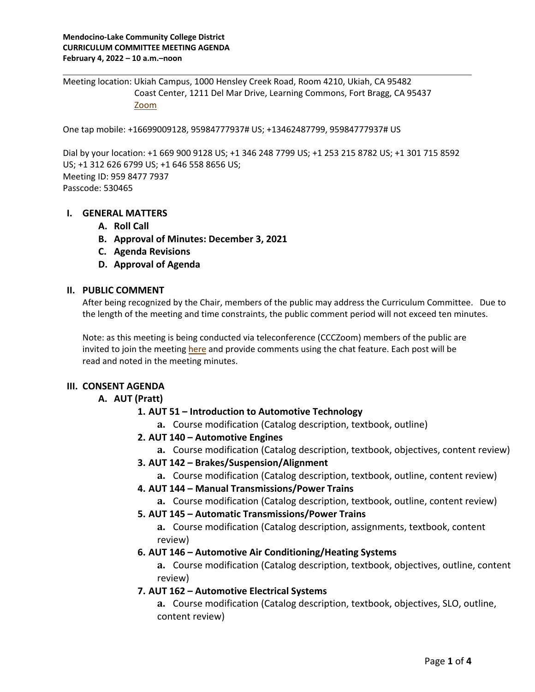Meeting location: Ukiah Campus, 1000 Hensley Creek Road, Room 4210, Ukiah, CA 95482 Coast Center, 1211 Del Mar Drive, Learning Commons, Fort Bragg, CA 95437 Zoom

One tap mobile: +16699009128, 95984777937# US; +13462487799, 95984777937# US

Dial by your location: +1 669 900 9128 US; +1 346 248 7799 US; +1 253 215 8782 US; +1 301 715 8592 US; +1 312 626 6799 US; +1 646 558 8656 US; Meeting ID: 959 8477 7937 Passcode: 530465

#### **I. GENERAL MATTERS**

- **A. Roll Call**
- **B. Approval of Minutes: December 3, 2021**
- **C. Agenda Revisions**
- **D. Approval of Agenda**

#### **II. PUBLIC COMMENT**

After being recognized by the Chair, members of the public may address the Curriculum Committee. Due to the length of the meeting and time constraints, the public comment period will not exceed ten minutes.

Note: as this meeting is being conducted via teleconference (CCCZoom) members of the public are invited to join the meeting here and provide comments using the chat feature. Each post will be read and noted in the meeting minutes.

#### **III. CONSENT AGENDA**

#### **A. AUT (Pratt)**

#### **1. AUT 51 – Introduction to Automotive Technology**

- **a.** Course modification (Catalog description, textbook, outline)
- **2. AUT 140 – Automotive Engines**
	- **a.** Course modification (Catalog description, textbook, objectives, content review)
- **3. AUT 142 – Brakes/Suspension/Alignment**
	- **a.** Course modification (Catalog description, textbook, outline, content review)
- **4. AUT 144 – Manual Transmissions/Power Trains**
	- **a.** Course modification (Catalog description, textbook, outline, content review)
- **5. AUT 145 – Automatic Transmissions/Power Trains**

**a.** Course modification (Catalog description, assignments, textbook, content review)

**6. AUT 146 – Automotive Air Conditioning/Heating Systems**

**a.** Course modification (Catalog description, textbook, objectives, outline, content review)

**7. AUT 162 – Automotive Electrical Systems**

**a.** Course modification (Catalog description, textbook, objectives, SLO, outline, content review)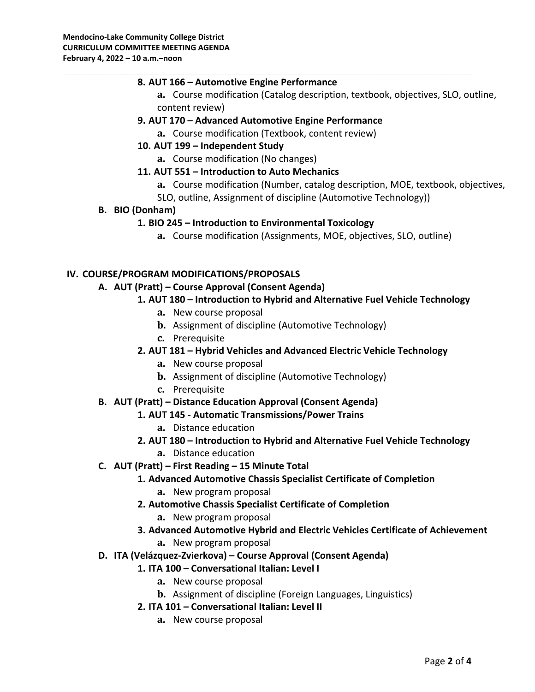#### **8. AUT 166 – Automotive Engine Performance**

**a.** Course modification (Catalog description, textbook, objectives, SLO, outline, content review)

## **9. AUT 170 – Advanced Automotive Engine Performance**

- **a.** Course modification (Textbook, content review)
- **10. AUT 199 – Independent Study**
	- **a.** Course modification (No changes)
- **11. AUT 551 – Introduction to Auto Mechanics**

**a.** Course modification (Number, catalog description, MOE, textbook, objectives, SLO, outline, Assignment of discipline (Automotive Technology))

#### **B. BIO (Donham)**

## **1. BIO 245 – Introduction to Environmental Toxicology**

**a.** Course modification (Assignments, MOE, objectives, SLO, outline)

## **IV. COURSE/PROGRAM MODIFICATIONS/PROPOSALS**

## **A. AUT (Pratt) – Course Approval (Consent Agenda)**

## **1. AUT 180 – Introduction to Hybrid and Alternative Fuel Vehicle Technology**

- **a.** New course proposal
- **b.** Assignment of discipline (Automotive Technology)
- **c.** Prerequisite

## **2. AUT 181 – Hybrid Vehicles and Advanced Electric Vehicle Technology**

- **a.** New course proposal
- **b.** Assignment of discipline (Automotive Technology)
- **c.** Prerequisite

## **B. AUT (Pratt) – Distance Education Approval (Consent Agenda)**

- **1. AUT 145 ‐ Automatic Transmissions/Power Trains** 
	- **a.** Distance education

## **2. AUT 180 – Introduction to Hybrid and Alternative Fuel Vehicle Technology**

**a.** Distance education

## **C. AUT (Pratt) – First Reading – 15 Minute Total**

- **1. Advanced Automotive Chassis Specialist Certificate of Completion**
	- **a.** New program proposal
- **2. Automotive Chassis Specialist Certificate of Completion** 
	- **a.** New program proposal
- **3. Advanced Automotive Hybrid and Electric Vehicles Certificate of Achievement**
	- **a.** New program proposal
- **D. ITA (Velázquez‐Zvierkova) – Course Approval (Consent Agenda)**

## **1. ITA 100 – Conversational Italian: Level I**

- **a.** New course proposal
- **b.** Assignment of discipline (Foreign Languages, Linguistics)

## **2. ITA 101 – Conversational Italian: Level II**

**a.** New course proposal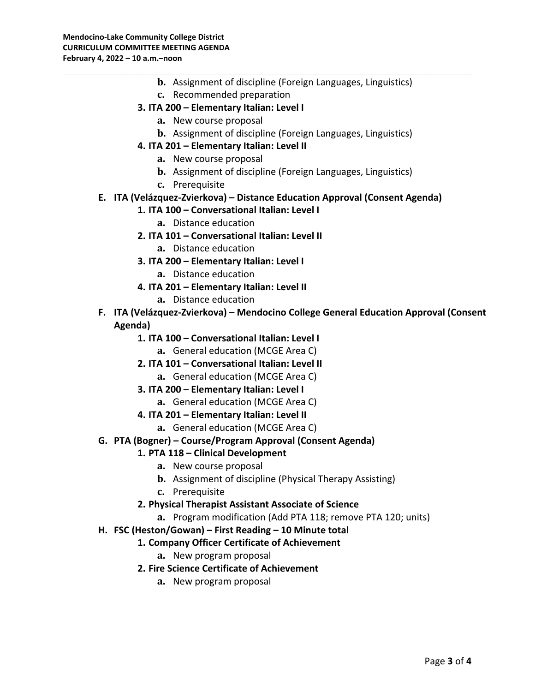- **b.** Assignment of discipline (Foreign Languages, Linguistics) **c.** Recommended preparation **3. ITA 200 – Elementary Italian: Level I a.** New course proposal **b.** Assignment of discipline (Foreign Languages, Linguistics) **4. ITA 201 – Elementary Italian: Level II a.** New course proposal **b.** Assignment of discipline (Foreign Languages, Linguistics) **c.** Prerequisite **E. ITA (Velázquez‐Zvierkova) – Distance Education Approval (Consent Agenda) 1. ITA 100 – Conversational Italian: Level I a.** Distance education **2. ITA 101 – Conversational Italian: Level II a.** Distance education **3. ITA 200 – Elementary Italian: Level I a.** Distance education **4. ITA 201 – Elementary Italian: Level II a.** Distance education **F. ITA (Velázquez‐Zvierkova) – Mendocino College General Education Approval (Consent Agenda)**
	- **1. ITA 100 – Conversational Italian: Level I**
		- **a.** General education (MCGE Area C)
	- **2. ITA 101 – Conversational Italian: Level II**
		- **a.** General education (MCGE Area C)
	- **3. ITA 200 – Elementary Italian: Level I**
		- **a.** General education (MCGE Area C)
	- **4. ITA 201 – Elementary Italian: Level II**
		- **a.** General education (MCGE Area C)
- **G. PTA (Bogner) – Course/Program Approval (Consent Agenda)**

## **1. PTA 118 – Clinical Development**

- **a.** New course proposal
- **b.** Assignment of discipline (Physical Therapy Assisting)
- **c.** Prerequisite
- **2. Physical Therapist Assistant Associate of Science**
	- **a.** Program modification (Add PTA 118; remove PTA 120; units)
- **H. FSC (Heston/Gowan) – First Reading – 10 Minute total**

# **1. Company Officer Certificate of Achievement**

- **a.** New program proposal
- **2. Fire Science Certificate of Achievement** 
	- **a.** New program proposal